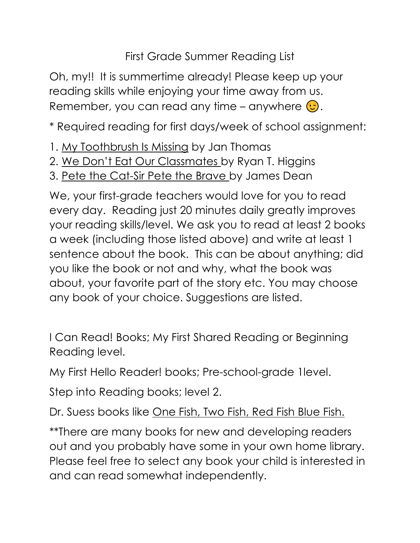First Grade Summer Reading List

Oh, my!! It is summertime already! Please keep up your reading skills while enjoying your time away from us. Remember, you can read any time – anywhere  $\odot$ .

\* Required reading for first days/week of school assignment:

- 1. My Toothbrush Is Missing by Jan Thomas
- 2. We Don't Eat Our Classmates by Ryan T. Higgins
- 3. Pete the Cat-Sir Pete the Brave by James Dean

We, your first-grade teachers would love for you to read every day. Reading just 20 minutes daily greatly improves your reading skills/level. We ask you to read at least 2 books a week (including those listed above) and write at least 1 sentence about the book. This can be about anything; did you like the book or not and why, what the book was about, your favorite part of the story etc. You may choose any book of your choice. Suggestions are listed.

I Can Read! Books; My First Shared Reading or Beginning Reading level.

My First Hello Reader! books; Pre-school-grade 1level.

Step into Reading books; level 2.

Dr. Suess books like One Fish, Two Fish, Red Fish Blue Fish.

\*\*There are many books for new and developing readers out and you probably have some in your own home library. Please feel free to select any book your child is interested in and can read somewhat independently.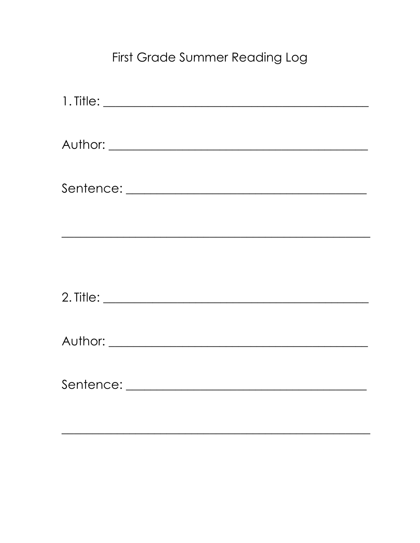## First Grade Summer Reading Log

| <u> 1989 - Jan James James James James James James James James James James James James James James James James J</u> |
|----------------------------------------------------------------------------------------------------------------------|
|                                                                                                                      |
|                                                                                                                      |
|                                                                                                                      |
|                                                                                                                      |
|                                                                                                                      |
|                                                                                                                      |
|                                                                                                                      |
|                                                                                                                      |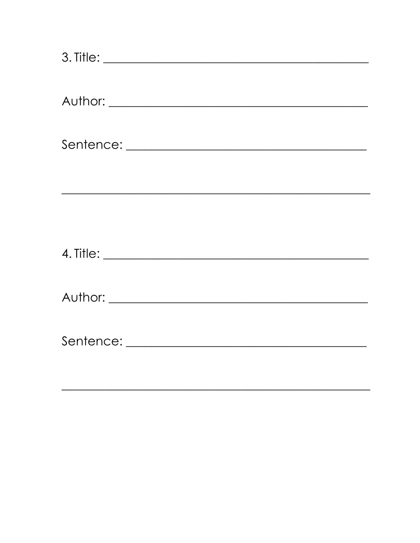| <u> 1989 - Johann Stoff, deutscher Stoffen und der Stoffen und der Stoffen und der Stoffen und der Stoffen und der</u> |
|------------------------------------------------------------------------------------------------------------------------|
|                                                                                                                        |
|                                                                                                                        |
|                                                                                                                        |
|                                                                                                                        |
|                                                                                                                        |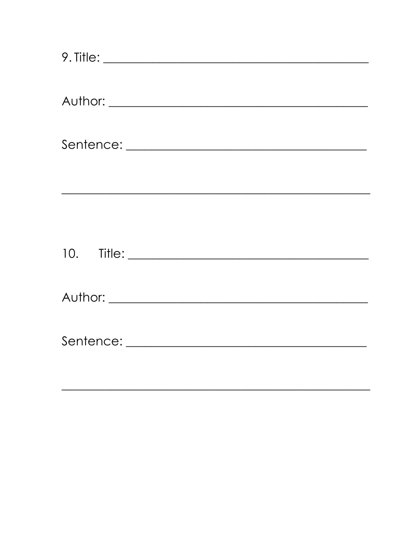| <u> 2000 - Jan Barristo, Amerikaansk politiker (d. 1982)</u> |  |  |
|--------------------------------------------------------------|--|--|
|                                                              |  |  |
|                                                              |  |  |
|                                                              |  |  |
|                                                              |  |  |
|                                                              |  |  |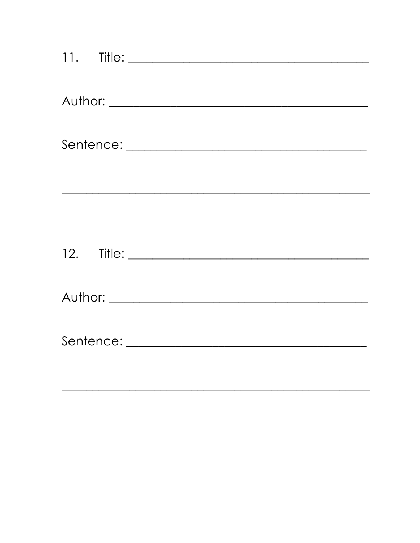| <u> 2003 - Jan Barnett, amerikansk politiker (d. 1982)</u> |
|------------------------------------------------------------|
|                                                            |
|                                                            |
|                                                            |
|                                                            |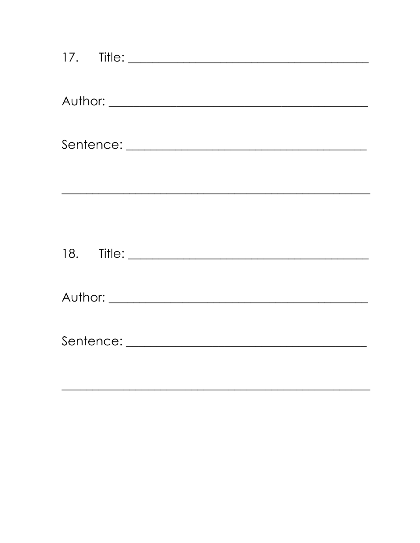| <u> 1989 - Johann Stoff, deutscher Stoffen und der Stoffen und der Stoffen und der Stoffen und der Stoffen und der</u> |  |
|------------------------------------------------------------------------------------------------------------------------|--|
|                                                                                                                        |  |
|                                                                                                                        |  |
|                                                                                                                        |  |